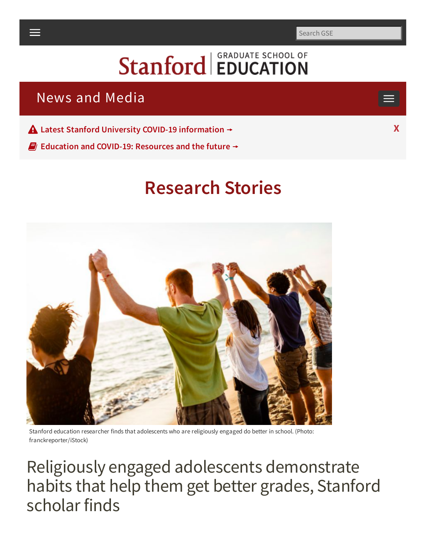Search GSE

# **Stanford EDUCATION**

# <span id="page-0-0"></span>News and Media

**Latest Stanford University COVID-19 [information](https://healthalerts.stanford.edu/)** ⟶ **X**

**Education and COVID-19: [Resources](https://ed.stanford.edu/covid19) and the future** ⟶

# **[Research](https://ed.stanford.edu/news-media/news) Stories**

Stanford education researcher finds that adolescents who are religiously engaged do better in school. (Photo: franckreporter/iStock)

Religiously engaged adolescents demonstrate habits that help them get better grades, Stanford scholar finds

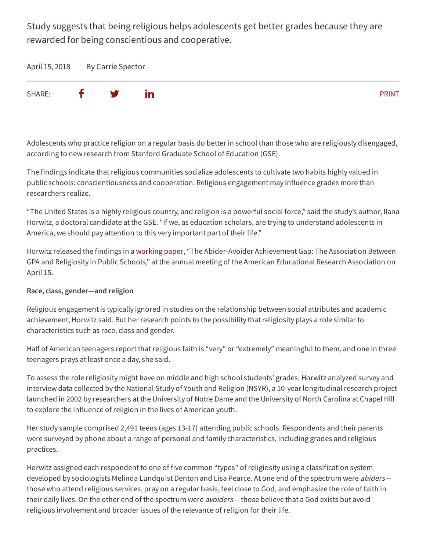Study suggests that being religious helps adolescents get better grades because they are rewarded for being conscientious and cooperative.

April 15, 2018 By Carrie Spector



Adolescents who practice religion on a regular basis do better in school than those who are religiously disengaged, according to new research from Stanford Graduate School of Education (GSE).

The findings indicate that religious communities socialize adolescents to cultivate two habits highly valued in public schools: conscientiousness and cooperation. Religious engagement may influence grades more than researchers realize.

"The United States is a highly religious country, and religion is a powerful social force," said the study's author, Ilana Horwitz, a doctoral candidate at the GSE. "If we, as education scholars, are trying to understand adolescents in America, we should pay attention to this very important part of their life."

Horwitz released the findings in a [working](https://osf.io/preprints/socarxiv/8ye3s/) paper, "The Abider-Avoider Achievement Gap: The Association Between GPA and Religiosity in Public Schools," atthe annual meeting of the American Educational Research Association on April 15.

#### **Race, class, gender—and religion**

Religious engagementis typically ignored in studies on the relationship between social attributes and academic achievement, Horwitz said. But her research points to the possibility thatreligiosity plays a role similar to characteristics such as race, class and gender.

Half of American teenagers report that religious faith is "very" or "extremely" meaningful to them, and one in three teenagers prays at least once a day, she said.

To assess the role religiosity might have on middle and high school students' grades, Horwitz analyzed survey and interview data collected by the National Study of Youth and Religion (NSYR), a 10-year longitudinal research project launched in 2002 by researchers atthe University of Notre Dame and the University of North Carolina at Chapel Hill to explore the influence of religion in the lives of American youth.

Her study sample comprised 2,491 teens (ages 13-17) attending public schools. Respondents and their parents were surveyed by phone about a range of personal and family characteristics, including grades and religious practices.

Horwitz assigned each respondent to one of five common "types" of religiosity using a classification system developed by sociologists Melinda Lundquist Denton and Lisa Pearce. At one end of the spectrum were *abiders* those who attend religious services, pray on a regular basis, feel close to God, and emphasize the role of faith in their daily lives. On the other end of the spectrum were *avoiders*— those believe that a God exists but avoid religious involvement and broader issues of the relevance of religion for their life.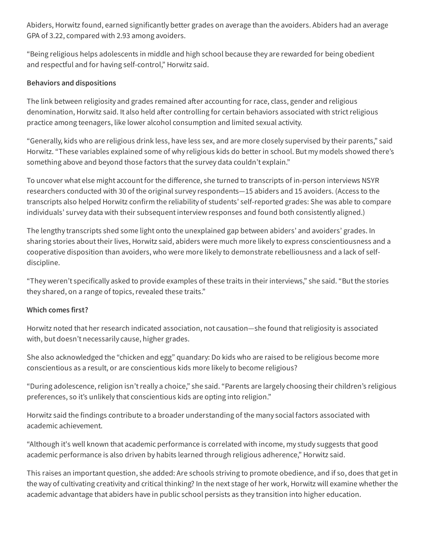Abiders, Horwitz found, earned significantly better grades on average than the avoiders. Abiders had an average GPA of 3.22, compared with 2.93 among avoiders.

"Being religious helps adolescents in middle and high school because they are rewarded for being obedient and respectful and for having self-control," Horwitz said.

#### **Behaviors and dispositions**

The link between religiosity and grades remained after accounting for race, class, gender and religious denomination, Horwitz said. It also held after controlling for certain behaviors associated with strict religious practice among teenagers, like lower alcohol consumption and limited sexual activity.

"Generally, kids who are religious drink less, have less sex, and are more closely supervised by their parents," said Horwitz. "These variables explained some of why religious kids do better in school. But my models showed there's something above and beyond those factors that the survey data couldn't explain."

To uncover what else might account for the difference, she turned to transcripts of in-person interviews NSYR researchers conducted with 30 of the original survey respondents—15 abiders and 15 avoiders. (Access to the transcripts also helped Horwitz confirm the reliability of students' self-reported grades: She was able to compare individuals' survey data with their subsequent interview responses and found both consistently aligned.)

The lengthy transcripts shed some light onto the unexplained gap between abiders' and avoiders' grades. In sharing stories about their lives, Horwitz said, abiders were much more likely to express conscientiousness and a cooperative disposition than avoiders, who were more likely to demonstrate rebelliousness and a lack of selfdiscipline.

"They weren't specifically asked to provide examples of these traits in their interviews," she said. "Butthe stories they shared, on a range of topics, revealed these traits."

#### **Which comes first?**

Horwitz noted that her research indicated association, not causation—she found that religiosity is associated with, but doesn't necessarily cause, higher grades.

She also acknowledged the "chicken and egg" quandary: Do kids who are raised to be religious become more conscientious as a result, or are conscientious kids more likely to become religious?

"During adolescence, religion isn'treally a choice," she said. "Parents are largely choosing their children's religious preferences, so it's unlikely that conscientious kids are opting into religion."

Horwitz said the findings contribute to a broader understanding of the many social factors associated with academic achievement.

"Although it's well known that academic performance is correlated with income, my study suggests that good academic performance is also driven by habits learned through religious adherence," Horwitz said.

This raises an important question, she added: Are schools striving to promote obedience, and if so, does that getin the way of cultivating creativity and critical thinking? In the next stage of her work, Horwitz will examine whether the academic advantage that abiders have in public school persists as they transition into higher education.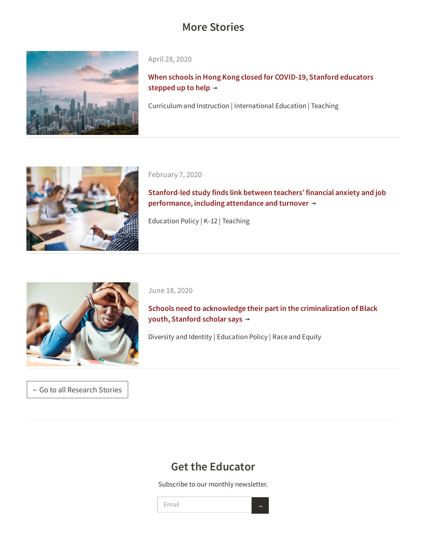# **More Stories**



April 28, 2020

**When schools in Hong Kong closed for COVID-19, Stanford [educators](https://ed.stanford.edu/news/when-schools-hong-kong-closed-covid-19-stanford-educators-were-hand) stepped** up to help  $\rightarrow$ 

[Curriculum and Instruction | International Education | Teaching](https://ed.stanford.edu/news/when-schools-hong-kong-closed-covid-19-stanford-educators-were-hand)



February 7, 2020

**Stanford-led study finds link between teachers' financial anxiety and job [performance,](https://ed.stanford.edu/news/stanford-led-study-finds-link-between-teachers-financial-anxiety-and-job-performance-including) including attendance and turnover**  $\rightarrow$ 

[Education Policy | K-12 | Teaching](https://ed.stanford.edu/news/stanford-led-study-finds-link-between-teachers-financial-anxiety-and-job-performance-including)



June 18, 2020

**Schools need to acknowledge their part in the [criminalization](https://ed.stanford.edu/news/schools-need-acknowledge-their-part-criminalization-black-youth-stanford-scholar-says) of Black youth, Stanford scholar says** ⟶

[Diversity and Identity | Education Policy | Race and Equity](https://ed.stanford.edu/news/schools-need-acknowledge-their-part-criminalization-black-youth-stanford-scholar-says)

← Go to all [Research](https://ed.stanford.edu/news-media/news) Stories

# **Get the Educator**

Subscribe to our monthly newsletter.